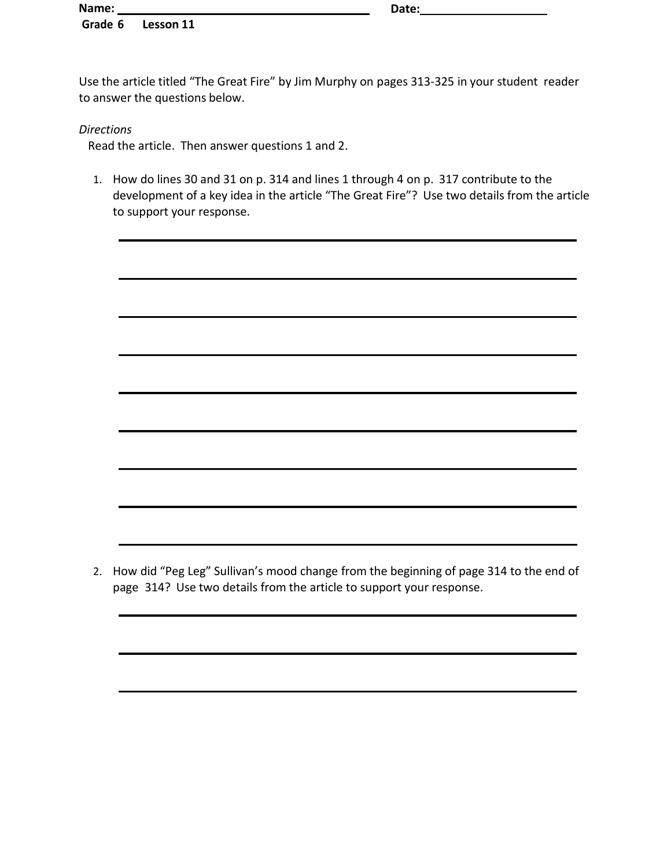**Name: Grade 6 Lesson 11** **Date:**

Use the article titled "The Great Fire" by Jim Murphy on pages 313-325 in your student reader to answer the questions below.

#### *Directions*

Read the article. Then answer questions 1 and 2.

1. How do lines 30 and 31 on p. 314 and lines 1 through 4 on p. 317 contribute to the development of a key idea in the article "The Great Fire"? Use two details from the article to support your response.

2. How did "Peg Leg" Sullivan's mood change from the beginning of page 314 to the end of page 314? Use two details from the article to support your response.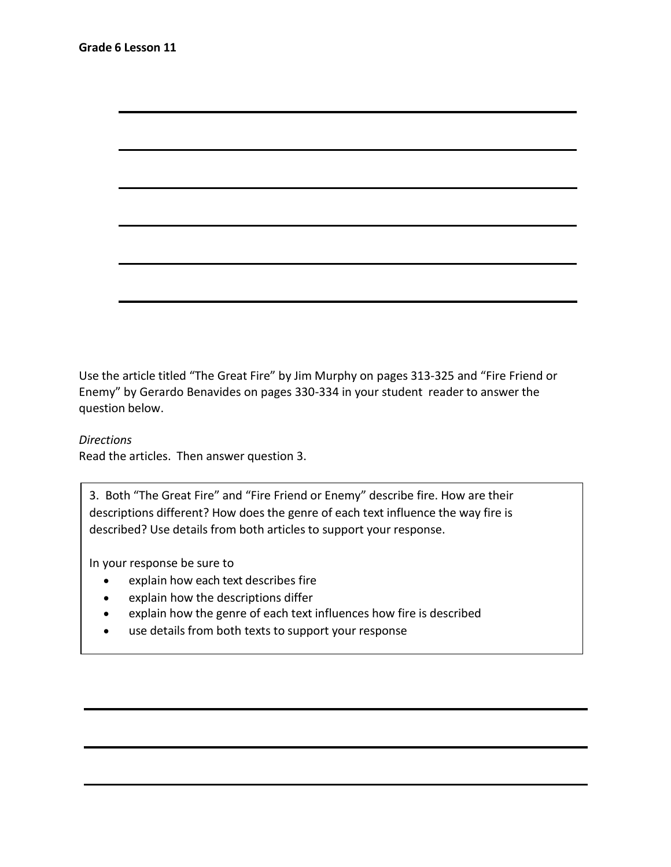Use the article titled "The Great Fire" by Jim Murphy on pages 313-325 and "Fire Friend or Enemy" by Gerardo Benavides on pages 330-334 in your student reader to answer the question below.

*Directions* Read the articles. Then answer question 3.

3. Both "The Great Fire" and "Fire Friend or Enemy" describe fire. How are their descriptions different? How does the genre of each text influence the way fire is described? Use details from both articles to support your response.

In your response be sure to

- explain how each text describes fire
- explain how the descriptions differ
- explain how the genre of each text influences how fire is described
- use details from both texts to support your response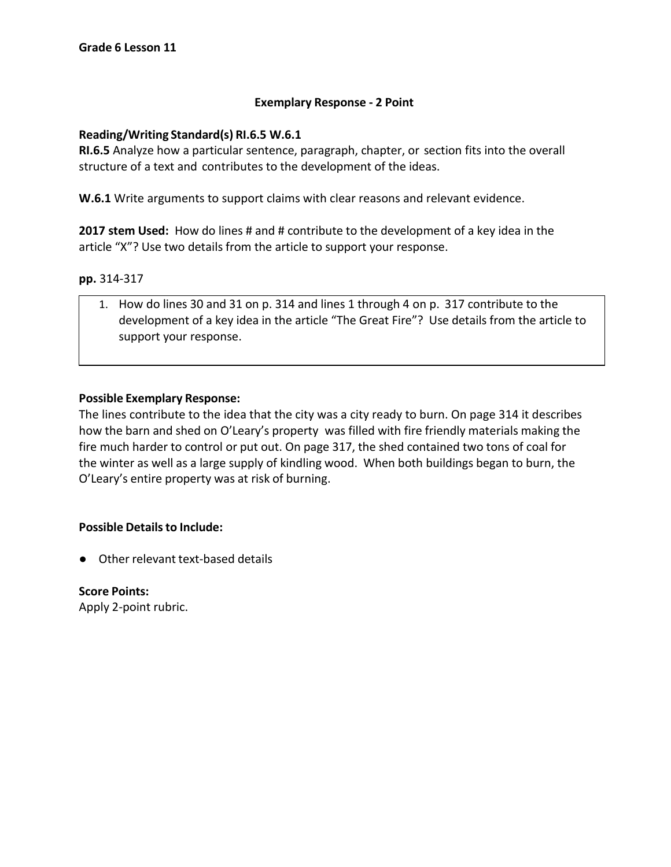# **Exemplary Response - 2 Point**

#### **Reading/Writing Standard(s) RI.6.5 W.6.1**

**RI.6.5** Analyze how a particular sentence, paragraph, chapter, or section fits into the overall structure of a text and contributes to the development of the ideas.

**W.6.1** Write arguments to support claims with clear reasons and relevant evidence.

**2017 stem Used:** How do lines # and # contribute to the development of a key idea in the article "X"? Use two details from the article to support your response.

#### **pp.** 314-317

1. How do lines 30 and 31 on p. 314 and lines 1 through 4 on p. 317 contribute to the development of a key idea in the article "The Great Fire"? Use details from the article to support your response.

#### **Possible Exemplary Response:**

The lines contribute to the idea that the city was a city ready to burn. On page 314 it describes how the barn and shed on O'Leary's property was filled with fire friendly materials making the fire much harder to control or put out. On page 317, the shed contained two tons of coal for the winter as well as a large supply of kindling wood. When both buildings began to burn, the O'Leary's entire property was at risk of burning.

#### **Possible Detailsto Include:**

● Other relevant text-based details

**Score Points:** Apply 2-point rubric.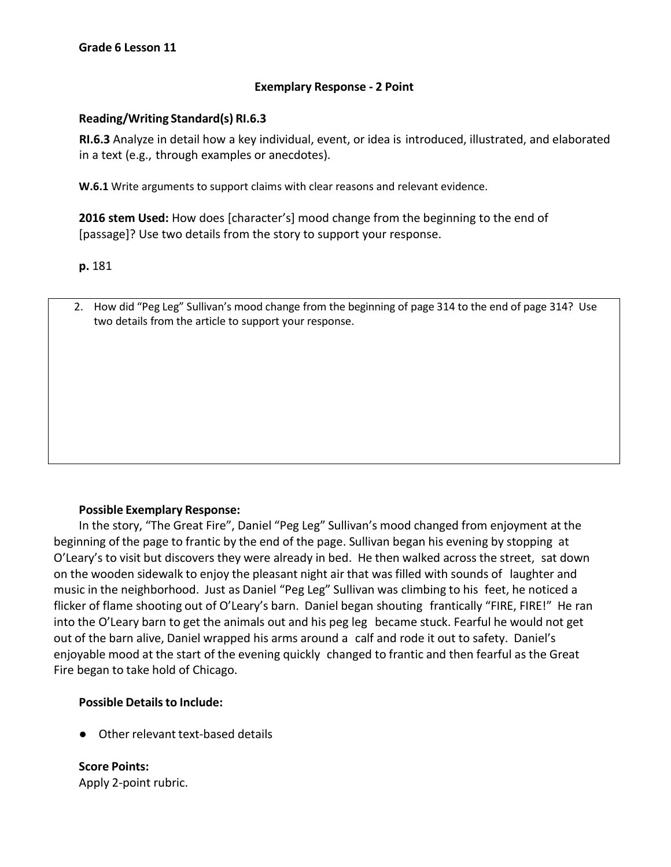## **Exemplary Response - 2 Point**

## **Reading/Writing Standard(s) RI.6.3**

**RI.6.3** Analyze in detail how a key individual, event, or idea is introduced, illustrated, and elaborated in a text (e.g., through examples or anecdotes).

**W.6.1** Write arguments to support claims with clear reasons and relevant evidence.

**2016 stem Used:** How does [character's] mood change from the beginning to the end of [passage]? Use two details from the story to support your response.

#### **p.** 181

2. How did "Peg Leg" Sullivan's mood change from the beginning of page 314 to the end of page 314? Use two details from the article to support your response.

## **Possible Exemplary Response:**

In the story, "The Great Fire", Daniel "Peg Leg" Sullivan's mood changed from enjoyment at the beginning of the page to frantic by the end of the page. Sullivan began his evening by stopping at O'Leary's to visit but discovers they were already in bed. He then walked across the street, sat down on the wooden sidewalk to enjoy the pleasant night air that was filled with sounds of laughter and music in the neighborhood. Just as Daniel "Peg Leg" Sullivan was climbing to his feet, he noticed a flicker of flame shooting out of O'Leary's barn. Daniel began shouting frantically "FIRE, FIRE!" He ran into the O'Leary barn to get the animals out and his peg leg became stuck. Fearful he would not get out of the barn alive, Daniel wrapped his arms around a calf and rode it out to safety. Daniel's enjoyable mood at the start of the evening quickly changed to frantic and then fearful as the Great Fire began to take hold of Chicago.

## **Possible Detailsto Include:**

● Other relevant text-based details

**Score Points:** Apply 2-point rubric.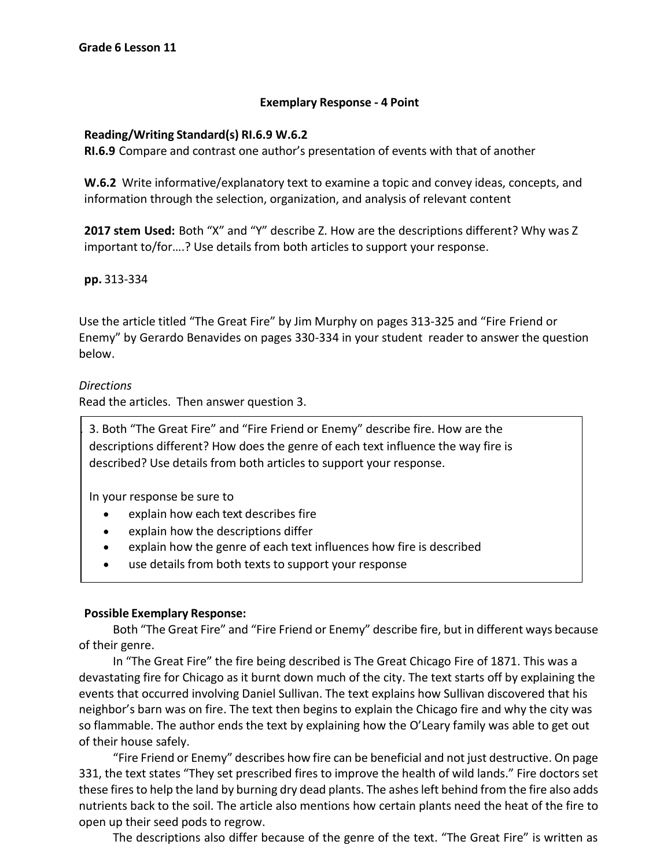# **Exemplary Response - 4 Point**

## **Reading/Writing Standard(s) RI.6.9 W.6.2**

**RI.6.9** Compare and contrast one author's presentation of events with that of another

**W.6.2** Write informative/explanatory text to examine a topic and convey ideas, concepts, and information through the selection, organization, and analysis of relevant content

**2017 stem Used:** Both "X" and "Y" describe Z. How are the descriptions different? Why was Z important to/for….? Use details from both articles to support your response.

# **pp.** 313-334

Use the article titled "The Great Fire" by Jim Murphy on pages 313-325 and "Fire Friend or Enemy" by Gerardo Benavides on pages 330-334 in your student reader to answer the question below.

## *Directions*

Read the articles. Then answer question 3.

3. 3. Both "The Great Fire" and "Fire Friend or Enemy" describe fire. How are the descriptions different? How does the genre of each text influence the way fire is described? Use details from both articles to support your response.

In your response be sure to

- explain how each text describes fire
- explain how the descriptions differ
- explain how the genre of each text influences how fire is described
- use details from both texts to support your response

## **Possible Exemplary Response:**

Both "The Great Fire" and "Fire Friend or Enemy" describe fire, but in different ways because of their genre.

In "The Great Fire" the fire being described is The Great Chicago Fire of 1871. This was a devastating fire for Chicago as it burnt down much of the city. The text starts off by explaining the events that occurred involving Daniel Sullivan. The text explains how Sullivan discovered that his neighbor's barn was on fire. The text then begins to explain the Chicago fire and why the city was so flammable. The author ends the text by explaining how the O'Leary family was able to get out of their house safely.

"Fire Friend or Enemy" describes how fire can be beneficial and not just destructive. On page 331, the text states "They set prescribed fires to improve the health of wild lands." Fire doctors set these fires to help the land by burning dry dead plants. The ashes left behind from the fire also adds nutrients back to the soil. The article also mentions how certain plants need the heat of the fire to open up their seed pods to regrow.

The descriptions also differ because of the genre of the text. "The Great Fire" is written as